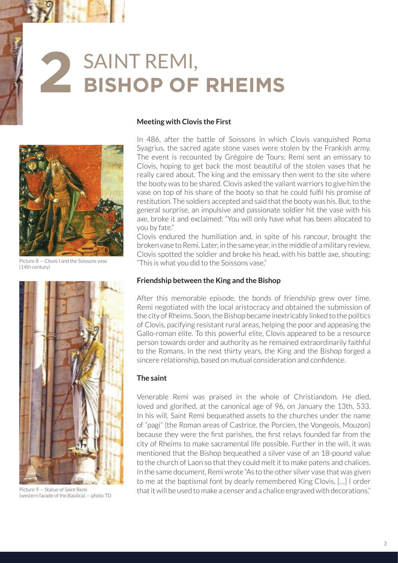## SAINT REMI, **2 BISHOP OF RHEIMS**



Picture 8 — Clovis I and the Soissons vase (14th century)



Picture 9 — Statue of Saint Remi (western facade of the Basilica) — photo TD

## **Meeting with Clovis the First**

In 486, after the battle of Soissons in which Clovis vanquished Roma Syagrius, the sacred agate stone vases were stolen by the Frankish army. The event is recounted by Grégoire de Tours: Remi sent an emissary to Clovis, hoping to get back the most beautiful of the stolen vases that he really cared about. The king and the emissary then went to the site where the booty was to be shared. Clovis asked the valiant warriors to give him the vase on top of his share of the booty so that he could fulfil his promise of restitution. The soldiers accepted and said that the booty was his. But, to the general surprise, an impulsive and passionate soldier hit the vase with his axe, broke it and exclaimed: "You will only have what has been allocated to you by fate."

Clovis endured the humiliation and, in spite of his rancour, brought the broken vase to Remi. Later, in the same year, in the middle of a military review, Clovis spotted the soldier and broke his head, with his battle axe, shouting: "This is what you did to the Soissons vase."

## **Friendship between the King and the Bishop**

After this memorable episode, the bonds of friendship grew over time. Remi negotiated with the local aristocracy and obtained the submission of the city of Rheims. Soon, the Bishop became inextricably linked to the politics of Clovis, pacifying resistant rural areas, helping the poor and appeasing the Gallo-roman elite. To this powerful elite, Clovis appeared to be a resource person towards order and authority as he remained extraordinarily faithful to the Romans. In the next thirty years, the King and the Bishop forged a sincere relationship, based on mutual consideration and confidence.

## **The saint**

Venerable Remi was praised in the whole of Christiandom. He died, loved and glorified, at the canonical age of 96, on January the 13th, 533. In his will, Saint Remi bequeathed assets to the churches under the name of "pagi" (the Roman areas of Castrice, the Porcien, the Vongeois, Mouzon) because they were the first parishes, the first relays founded far from the city of Rheims to make sacramental life possible. Further in the will, it was mentioned that the Bishop bequeathed a silver vase of an 18-pound value to the church of Laon so that they could melt it to make patens and chalices. In the same document, Remi wrote "As to the other silver vase that was given to me at the baptismal font by dearly remembered King Clovis, […] I order that it will be used to make a censer and a chalice engraved with decorations."